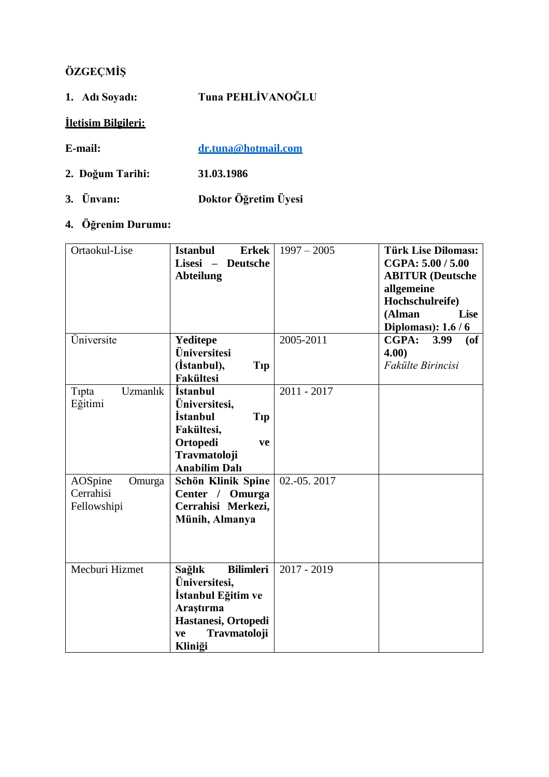# **ÖZGEÇMİŞ**

| 1. Adı Soyadı:             | Tuna PEHLİVANOĞLU    |
|----------------------------|----------------------|
| <b>Iletisim Bilgileri:</b> |                      |
| E-mail:                    | dr.tuna@hotmail.com  |
| 2. Doğum Tarihi:           | 31.03.1986           |
| 3. Ünvanı:                 | Doktor Öğretim Üyesi |

## **4. Öğrenim Durumu:**

| Ortaokul-Lise                                 | <b>Istanbul</b><br><b>Erkek</b><br>Lisesi -<br><b>Deutsche</b><br><b>Abteilung</b>                                                        | $1997 - 2005$ | <b>Türk Lise Diloması:</b><br>CGPA: 5.00 / 5.00<br><b>ABITUR</b> (Deutsche<br>allgemeine<br>Hochschulreife)<br>(Alman<br><b>Lise</b><br>Diploması): 1.6 / 6 |
|-----------------------------------------------|-------------------------------------------------------------------------------------------------------------------------------------------|---------------|-------------------------------------------------------------------------------------------------------------------------------------------------------------|
| Üniversite                                    | Yeditepe<br>Üniversitesi<br>(Istanbul),<br>Tip<br><b>Fakültesi</b>                                                                        | 2005-2011     | CGPA:<br>3.99<br>$($ of<br>4.00)<br>Fakülte Birincisi                                                                                                       |
| Uzmanlık<br>Tipta<br>Eğitimi                  | <i><b>İstanbul</b></i><br>Üniversitesi,<br><i>istanbul</i><br>Tip<br>Fakültesi,<br>Ortopedi<br>ve<br>Travmatoloji<br><b>Anabilim Dalı</b> | 2011 - 2017   |                                                                                                                                                             |
| AOSpine<br>Omurga<br>Cerrahisi<br>Fellowshipi | Schön Klinik Spine<br>Center / Omurga<br>Cerrahisi Merkezi,<br>Münih, Almanya                                                             | 02.-05.2017   |                                                                                                                                                             |
| Mecburi Hizmet                                | <b>Bilimleri</b><br>Sağlık<br>Üniversitesi,<br>İstanbul Eğitim ve<br>Araştırma<br>Hastanesi, Ortopedi<br>Travmatoloji<br>ve<br>Kliniği    | $2017 - 2019$ |                                                                                                                                                             |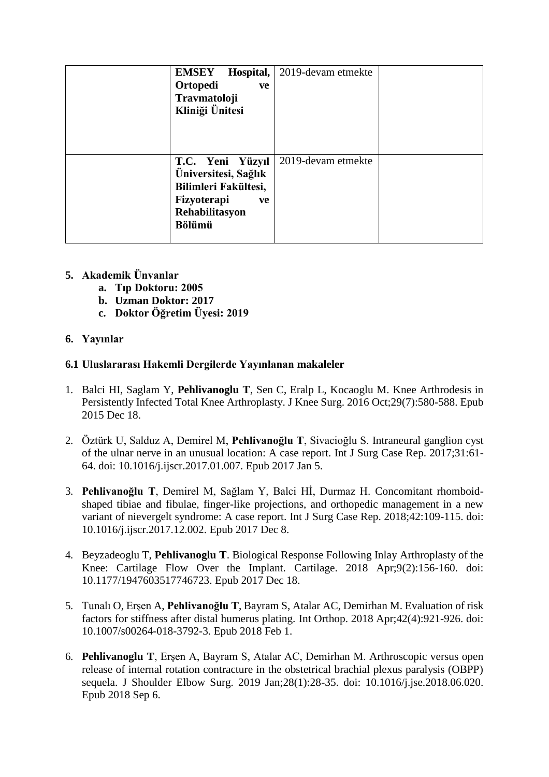| Hospital,<br><b>EMSEY</b> | 2019-devam etmekte |  |
|---------------------------|--------------------|--|
| Ortopedi<br>ve            |                    |  |
| Travmatoloji              |                    |  |
| Kliniği Ünitesi           |                    |  |
|                           |                    |  |
|                           |                    |  |
|                           |                    |  |
| T.C. Yeni Yüzyıl          | 2019-devam etmekte |  |
| Üniversitesi, Sağlık      |                    |  |
| Bilimleri Fakültesi,      |                    |  |
| Fizyoterapi<br>ve         |                    |  |
| Rehabilitasyon            |                    |  |
| <b>Bölümü</b>             |                    |  |
|                           |                    |  |

- **5. Akademik Ünvanlar**
	- **a. Tıp Doktoru: 2005**
	- **b. Uzman Doktor: 2017**
	- **c. Doktor Öğretim Üyesi: 2019**

## **6. Yayınlar**

## **6.1 Uluslararası Hakemli Dergilerde Yayınlanan makaleler**

- 1. Balci HI, Saglam Y, **Pehlivanoglu T**, Sen C, Eralp L, Kocaoglu M. [Knee Arthrodesis in](https://www.ncbi.nlm.nih.gov/pubmed/26683977) Persistently Infected Total Knee [Arthroplasty.](https://www.ncbi.nlm.nih.gov/pubmed/26683977) J Knee Surg. 2016 Oct;29(7):580-588. Epub 2015 Dec 18.
- 2. Öztürk U, Salduz A, Demirel M, **Pehlivanoğlu T**, Sivacioğlu S. [Intraneural ganglion cyst](https://www.ncbi.nlm.nih.gov/pubmed/28107760) [of the ulnar nerve in an unusual location: A case report. I](https://www.ncbi.nlm.nih.gov/pubmed/28107760)nt J Surg Case Rep. 2017;31:61- 64. doi: 10.1016/j.ijscr.2017.01.007. Epub 2017 Jan 5.
- 3. **Pehlivanoğlu T**, Demirel M, Sağlam Y, Balci Hİ, Durmaz H. [Concomitant rhomboid](https://www.ncbi.nlm.nih.gov/pubmed/29245094)shaped [tibiae and fibulae, finger-like projections, and orthopedic management in a new](https://www.ncbi.nlm.nih.gov/pubmed/29245094) [variant of nievergelt syndrome: A case report. I](https://www.ncbi.nlm.nih.gov/pubmed/29245094)nt J Surg Case Rep. 2018;42:109-115. doi: 10.1016/j.ijscr.2017.12.002. Epub 2017 Dec 8.
- 4. Beyzadeoglu T, **Pehlivanoglu T**. [Biological Response Following Inlay Arthroplasty of](https://www.ncbi.nlm.nih.gov/pubmed/29254356) th[e](https://www.ncbi.nlm.nih.gov/pubmed/29254356) Knee: Cartilage [Flow Over the Implant.](https://www.ncbi.nlm.nih.gov/pubmed/29254356) Cartilage. 2018 Apr;9(2):156-160. doi: 10.1177/1947603517746723. Epub 2017 Dec 18.
- 5. Tunalı O, Erşen A, **Pehlivanoğlu T**, Bayram S, Atalar AC, Demirhan M. [Evaluation](https://www.ncbi.nlm.nih.gov/pubmed/29392385) of ris[k](https://www.ncbi.nlm.nih.gov/pubmed/29392385) [factors for stiffness after distal humerus plating. I](https://www.ncbi.nlm.nih.gov/pubmed/29392385)nt Orthop. 2018 Apr;42(4):921-926. doi: 10.1007/s00264-018-3792-3. Epub 2018 Feb 1.
- 6. **Pehlivanoglu T**, Erşen A, Bayram S, Atalar AC, Demirhan M. [Arthroscopic versus open](https://www.ncbi.nlm.nih.gov/pubmed/30195621) [release of internal rotation contracture in the obstetrical brachial plexus paralysis \(OBPP\)](https://www.ncbi.nlm.nih.gov/pubmed/30195621) [sequela.](https://www.ncbi.nlm.nih.gov/pubmed/30195621) J Shoulder Elbow Surg. 2019 Jan;28(1):28-35. doi: 10.1016/j.jse.2018.06.020. Epub 2018 Sep 6.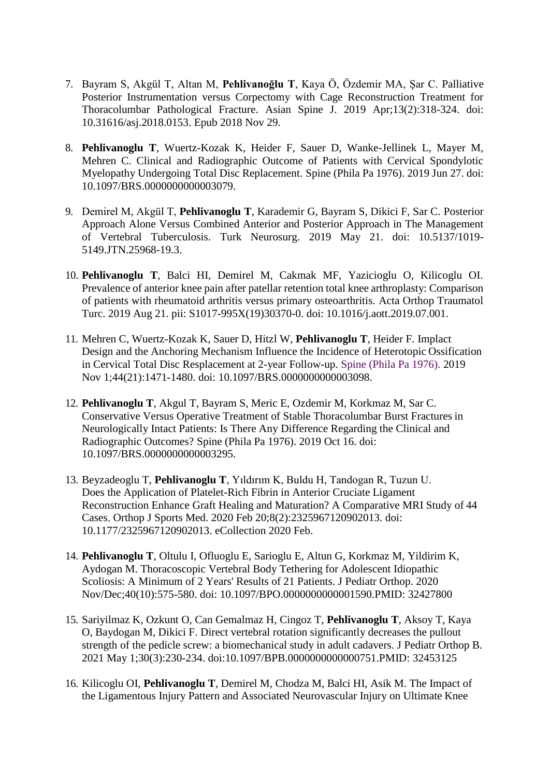- 7. Bayram S, Akgül T, Altan M, **Pehlivanoğlu T**, Kaya Ö, Özdemir MA, Şar C. [Palliative](https://www.ncbi.nlm.nih.gov/pubmed/30481977) [Posterior Instrumentation versus Corpectomy with Cage Reconstruction Treatment for](https://www.ncbi.nlm.nih.gov/pubmed/30481977) [Thoracolumbar Pathological Fracture.](https://www.ncbi.nlm.nih.gov/pubmed/30481977) Asian Spine J. 2019 Apr;13(2):318-324. doi: 10.31616/asj.2018.0153. Epub 2018 Nov 29.
- 8. **Pehlivanoglu T**, Wuertz-Kozak K, Heider F, Sauer D, Wanke-Jellinek L, Mayer M, Mehren C. [Clinical and Radiographic Outcome of Patients with Cervical Spondylotic](https://www.ncbi.nlm.nih.gov/pubmed/31261277) Myelopathy Undergoing Total Disc [Replacement.](https://www.ncbi.nlm.nih.gov/pubmed/31261277) Spine (Phila Pa 1976). 2019 Jun 27. doi: 10.1097/BRS.0000000000003079.
- 9. Demirel M, Akgül T, **Pehlivanoglu T**, Karademir G, Bayram S, Dikici F, Sar C. [Posterior](https://www.ncbi.nlm.nih.gov/pubmed/31353437) [Approach Alone Versus Combined Anterior and Posterior Approach in The Management](https://www.ncbi.nlm.nih.gov/pubmed/31353437) [of Vertebral Tuberculosis.](https://www.ncbi.nlm.nih.gov/pubmed/31353437) Turk Neurosurg. 2019 May 21. doi: 10.5137/1019- 5149.JTN.25968-19.3.
- 10. **Pehlivanoglu T**, Balci HI, Demirel M, Cakmak MF, Yazicioglu O, Kilicoglu OI[.](https://www.ncbi.nlm.nih.gov/pubmed/31445793) Prevalence of anterior knee pain after patellar retention total knee [arthroplasty:](https://www.ncbi.nlm.nih.gov/pubmed/31445793) Compariso[n](https://www.ncbi.nlm.nih.gov/pubmed/31445793) [of patients with rheumatoid arthritis versus primary osteoarthritis. A](https://www.ncbi.nlm.nih.gov/pubmed/31445793)cta Orthop Traumatol Turc. 2019 Aug 21. pii: S1017-995X(19)30370-0. doi: 10.1016/j.aott.2019.07.001.
- 11. Mehren C, Wuertz-Kozak K, Sauer D, Hitzl W, **Pehlivanoglu T**, Heider F. Implact Design and the Anchoring Mechanism Influence the Incidence of Heterotopic Ossification in Cervical Total Disc Resplacement at 2-year Follow-up. [Spine \(Phila Pa 1976\). 2](https://www.ncbi.nlm.nih.gov/pubmed/31568185)019 Nov 1;44(21):1471-1480. doi: 10.1097/BRS.0000000000003098.
- 12. **Pehlivanoglu T**, Akgul T, Bayram S, Meric E, Ozdemir M, Korkmaz M, Sar C[.](https://www.ncbi.nlm.nih.gov/pubmed/31651679) [Conservative Versus Operative Treatment of Stable Thoracolumbar Burst Fractures](https://www.ncbi.nlm.nih.gov/pubmed/31651679) i[n](https://www.ncbi.nlm.nih.gov/pubmed/31651679) [Neurologically Intact Patients: Is There Any Difference Regarding the Clinical and](https://www.ncbi.nlm.nih.gov/pubmed/31651679) [Radiographic Outcomes? S](https://www.ncbi.nlm.nih.gov/pubmed/31651679)pine (Phila Pa 1976). 2019 Oct 16. doi: 10.1097/BRS.0000000000003295.
- 13. Beyzadeoglu T, **Pehlivanoglu T**, Yıldırım K, Buldu H, Tandogan R, Tuzun U. Does the Application of Platelet-Rich Fibrin in Anterior Cruciate Ligament Reconstruction Enhance Graft Healing and Maturation? A Comparative MRI Study of 44 Cases. Orthop J Sports Med. 2020 Feb 20;8(2):2325967120902013. doi: 10.1177/2325967120902013. eCollection 2020 Feb.
- 14. **Pehlivanoglu T**, Oltulu I, Ofluoglu E, Sarioglu E, Altun G, Korkmaz M, Yildirim K, Aydogan M. Thoracoscopic Vertebral Body Tethering for Adolescent Idiopathic Scoliosis: A Minimum of 2 Years' Results of 21 Patients. J Pediatr Orthop. 2020 Nov/Dec;40(10):575-580. doi: 10.1097/BPO.0000000000001590.PMID: 32427800
- 15. Sariyilmaz K, Ozkunt O, Can Gemalmaz H, Cingoz T, **Pehlivanoglu T**, Aksoy T, Kaya O, Baydogan M, Dikici F. Direct vertebral rotation significantly decreases the pullout strength of the pedicle screw: a biomechanical study in adult cadavers. J Pediatr Orthop B. 2021 May 1;30(3):230-234. doi:10.1097/BPB.0000000000000751.PMID: 32453125
- 16. Kilicoglu OI, **Pehlivanoglu T**, Demirel M, Chodza M, Balci HI, Asik M. The Impact of the Ligamentous Injury Pattern and Associated Neurovascular Injury on Ultimate Knee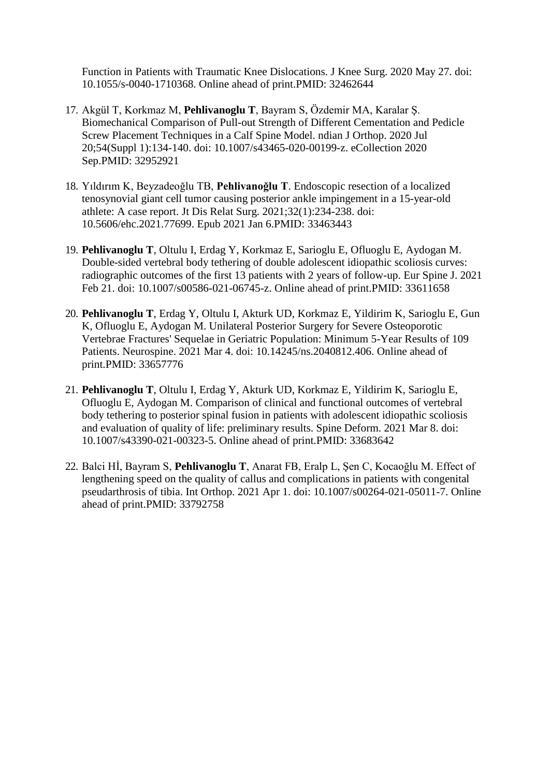Function in Patients with Traumatic Knee Dislocations. J Knee Surg. 2020 May 27. doi: 10.1055/s-0040-1710368. Online ahead of print.PMID: 32462644

- 17. Akgül T, Korkmaz M, **Pehlivanoglu T**, Bayram S, Özdemir MA, Karalar Ş. Biomechanical Comparison of Pull-out Strength of Different Cementation and Pedicle Screw Placement Techniques in a Calf Spine Model. ndian J Orthop. 2020 Jul 20;54(Suppl 1):134-140. doi: 10.1007/s43465-020-00199-z. eCollection 2020 Sep.PMID: 32952921
- 18. Yıldırım K, Beyzadeoğlu TB, **Pehlivanoğlu T**. Endoscopic resection of a localized tenosynovial giant cell tumor causing posterior ankle impingement in a 15-year-old athlete: A case report. Jt Dis Relat Surg. 2021;32(1):234-238. doi: 10.5606/ehc.2021.77699. Epub 2021 Jan 6.PMID: 33463443
- 19. **Pehlivanoglu T**, Oltulu I, Erdag Y, Korkmaz E, Sarioglu E, Ofluoglu E, Aydogan M. Double-sided vertebral body tethering of double adolescent idiopathic scoliosis curves: radiographic outcomes of the first 13 patients with 2 years of follow-up. Eur Spine J. 2021 Feb 21. doi: 10.1007/s00586-021-06745-z. Online ahead of print.PMID: 33611658
- 20. **Pehlivanoglu T**, Erdag Y, Oltulu I, Akturk UD, Korkmaz E, Yildirim K, Sarioglu E, Gun K, Ofluoglu E, Aydogan M. Unilateral Posterior Surgery for Severe Osteoporotic Vertebrae Fractures' Sequelae in Geriatric Population: Minimum 5-Year Results of 109 Patients. Neurospine. 2021 Mar 4. doi: 10.14245/ns.2040812.406. Online ahead of print.PMID: 33657776
- 21. **Pehlivanoglu T**, Oltulu I, Erdag Y, Akturk UD, Korkmaz E, Yildirim K, Sarioglu E, Ofluoglu E, Aydogan M. Comparison of clinical and functional outcomes of vertebral body tethering to posterior spinal fusion in patients with adolescent idiopathic scoliosis and evaluation of quality of life: preliminary results. Spine Deform. 2021 Mar 8. doi: 10.1007/s43390-021-00323-5. Online ahead of print.PMID: 33683642
- 22. Balci Hİ, Bayram S, **Pehlivanoglu T**, Anarat FB, Eralp L, Şen C, Kocaoğlu M. Effect of lengthening speed on the quality of callus and complications in patients with congenital pseudarthrosis of tibia. Int Orthop. 2021 Apr 1. doi: 10.1007/s00264-021-05011-7. Online ahead of print.PMID: 33792758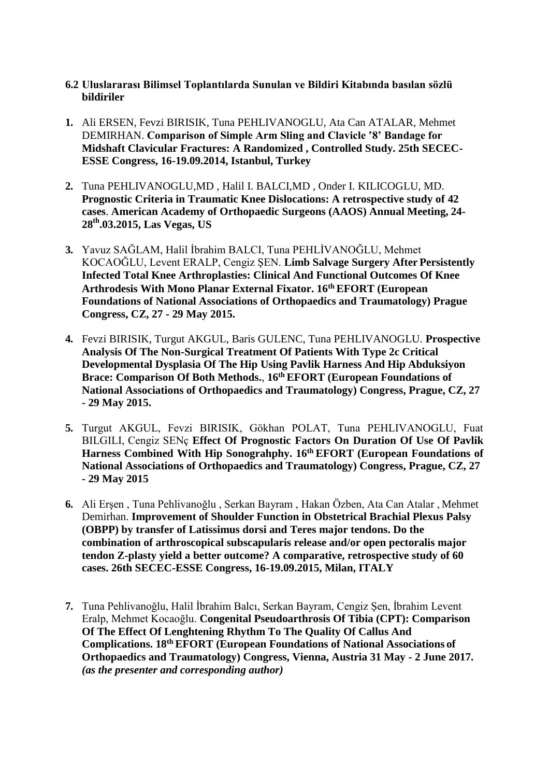#### **6.2 Uluslararası Bilimsel Toplantılarda Sunulan ve Bildiri Kitabında basılan sözlü bildiriler**

- **1.** Ali ERSEN, Fevzi BIRISIK, Tuna PEHLIVANOGLU, Ata Can ATALAR, Mehmet DEMIRHAN. **Comparison of Simple Arm Sling and Clavicle '8' Bandage for Midshaft Clavicular Fractures: A Randomized , Controlled Study. 25th SECEC-ESSE Congress, 16-19.09.2014, Istanbul, Turkey**
- **2.** Tuna PEHLIVANOGLU,MD , Halil I. BALCI,MD , Onder I. KILICOGLU, MD. **Prognostic Criteria in Traumatic Knee Dislocations: A retrospective study of 42 cases**. **American Academy of Orthopaedic Surgeons (AAOS) Annual Meeting, 24- 28th.03.2015, Las Vegas, US**
- **3.** Yavuz SAĞLAM, Halil İbrahim BALCI, Tuna PEHLİVANOĞLU, Mehmet KOCAOĞLU, Levent ERALP, Cengiz ŞEN. **Limb Salvage Surgery After Persistently Infected Total Knee Arthroplasties: Clinical And Functional Outcomes Of Knee Arthrodesis With Mono Planar External Fixator. 16th EFORT (European Foundations of National Associations of Orthopaedics and Traumatology) Prague Congress, CZ, 27 - 29 May 2015.**
- **4.** Fevzi BIRISIK, Turgut AKGUL, Baris GULENC, Tuna PEHLIVANOGLU. **Prospective Analysis Of The Non-Surgical Treatment Of Patients With Type 2c Critical Developmental Dysplasia Of The Hip Using Pavlik Harness And Hip Abduksiyon Brace: Comparison Of Both Methods.**, **16th EFORT (European Foundations of National Associations of Orthopaedics and Traumatology) Congress, Prague, CZ, 27 - 29 May 2015.**
- **5.** Turgut AKGUL, Fevzi BIRISIK, Gökhan POLAT, Tuna PEHLIVANOGLU, Fuat BILGILI, Cengiz SENç **Effect Of Prognostic Factors On Duration Of Use Of Pavlik Harness Combined With Hip Sonograhphy. 16th EFORT (European Foundations of National Associations of Orthopaedics and Traumatology) Congress, Prague, CZ, 27 - 29 May 2015**
- **6.** Ali Erşen , Tuna Pehlivanoğlu , Serkan Bayram , Hakan Özben, Ata Can Atalar , Mehmet Demirhan. **Improvement of Shoulder Function in Obstetrical Brachial Plexus Palsy (OBPP) by transfer of Latissimus dorsi and Teres major tendons. Do the combination of arthroscopical subscapularis release and/or open pectoralis major tendon Z-plasty yield a better outcome? A comparative, retrospective study of 60 cases. 26th SECEC-ESSE Congress, 16-19.09.2015, Milan, ITALY**
- **7.** Tuna Pehlivanoğlu, Halil İbrahim Balcı, Serkan Bayram, Cengiz Şen, İbrahim Levent Eralp, Mehmet Kocaoğlu. **Congenital Pseudoarthrosis Of Tibia (CPT): Comparison Of The Effect Of Lenghtening Rhythm To The Quality Of Callus And Complications. 18th EFORT (European Foundations of National Associations of Orthopaedics and Traumatology) Congress, Vienna, Austria 31 May - 2 June 2017.** *(as the presenter and corresponding author)*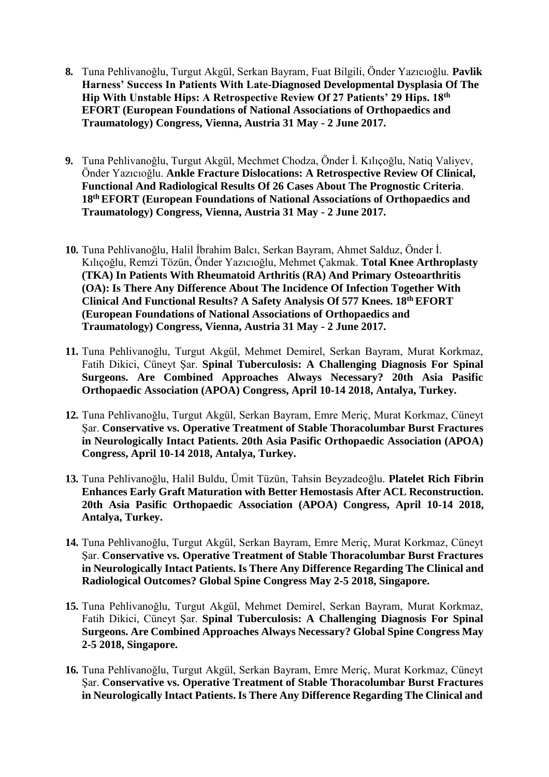- **8.** Tuna Pehlivanoğlu, Turgut Akgül, Serkan Bayram, Fuat Bilgili, Önder Yazıcıoğlu. **Pavlik Harness' Success In Patients With Late-Diagnosed Developmental Dysplasia Of The Hip With Unstable Hips: A Retrospective Review Of 27 Patients' 29 Hips. 18th EFORT (European Foundations of National Associations of Orthopaedics and Traumatology) Congress, Vienna, Austria 31 May - 2 June 2017.**
- **9.** Tuna Pehlivanoğlu, Turgut Akgül, Mechmet Chodza, Önder İ. Kılıçoğlu, Natiq Valiyev, Önder Yazıcıoğlu. **Ankle Fracture Dislocations: A Retrospective Review Of Clinical, Functional And Radiological Results Of 26 Cases About The Prognostic Criteria**. **18th EFORT (European Foundations of National Associations of Orthopaedics and Traumatology) Congress, Vienna, Austria 31 May - 2 June 2017.**
- **10.** Tuna Pehlivanoğlu, Halil İbrahim Balcı, Serkan Bayram, Ahmet Salduz, Önder İ. Kılıçoğlu, Remzi Tözün, Önder Yazıcıoğlu, Mehmet Çakmak. **Total Knee Arthroplasty (TKA) In Patients With Rheumatoid Arthritis (RA) And Primary Osteoarthritis (OA): Is There Any Difference About The Incidence Of Infection Together With Clinical And Functional Results? A Safety Analysis Of 577 Knees. 18th EFORT (European Foundations of National Associations of Orthopaedics and Traumatology) Congress, Vienna, Austria 31 May - 2 June 2017.**
- **11.** Tuna Pehlivanoğlu, Turgut Akgül, Mehmet Demirel, Serkan Bayram, Murat Korkmaz, Fatih Dikici, Cüneyt Şar. **Spinal Tuberculosis: A Challenging Diagnosis For Spinal Surgeons. Are Combined Approaches Always Necessary? 20th Asia Pasific Orthopaedic Association (APOA) Congress, April 10-14 2018, Antalya, Turkey.**
- **12.** Tuna Pehlivanoğlu, Turgut Akgül, Serkan Bayram, Emre Meriç, Murat Korkmaz, Cüneyt Şar. **Conservative vs. Operative Treatment of Stable Thoracolumbar Burst Fractures in Neurologically Intact Patients. 20th Asia Pasific Orthopaedic Association (APOA) Congress, April 10-14 2018, Antalya, Turkey.**
- **13.** Tuna Pehlivanoğlu, Halil Buldu, Ümit Tüzün, Tahsin Beyzadeoğlu. **Platelet Rich Fibrin Enhances Early Graft Maturation with Better Hemostasis After ACL Reconstruction. 20th Asia Pasific Orthopaedic Association (APOA) Congress, April 10-14 2018, Antalya, Turkey.**
- **14.** Tuna Pehlivanoğlu, Turgut Akgül, Serkan Bayram, Emre Meriç, Murat Korkmaz, Cüneyt Şar. **Conservative vs. Operative Treatment of Stable Thoracolumbar Burst Fractures in Neurologically Intact Patients. Is There Any Difference Regarding The Clinical and Radiological Outcomes? Global Spine Congress May 2-5 2018, Singapore.**
- **15.** Tuna Pehlivanoğlu, Turgut Akgül, Mehmet Demirel, Serkan Bayram, Murat Korkmaz, Fatih Dikici, Cüneyt Şar. **Spinal Tuberculosis: A Challenging Diagnosis For Spinal Surgeons. Are Combined Approaches Always Necessary? Global Spine Congress May 2-5 2018, Singapore.**
- **16.** Tuna Pehlivanoğlu, Turgut Akgül, Serkan Bayram, Emre Meriç, Murat Korkmaz, Cüneyt Şar. **Conservative vs. Operative Treatment of Stable Thoracolumbar Burst Fractures in Neurologically Intact Patients. Is There Any Difference Regarding The Clinical and**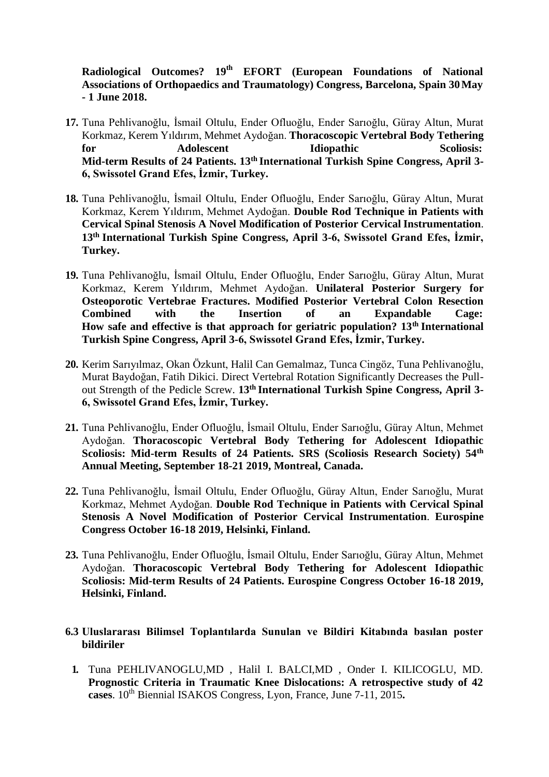**Radiological Outcomes? 19th EFORT (European Foundations of National Associations of Orthopaedics and Traumatology) Congress, Barcelona, Spain 30May - 1 June 2018.**

- **17.** Tuna Pehlivanoğlu, İsmail Oltulu, Ender Ofluoğlu, Ender Sarıoğlu, Güray Altun, Murat Korkmaz, Kerem Yıldırım, Mehmet Aydoğan. **Thoracoscopic Vertebral Body Tethering for Adolescent Idiopathic Scoliosis: Mid-term Results of 24 Patients. 13th International Turkish Spine Congress, April 3- 6, Swissotel Grand Efes, İzmir, Turkey.**
- **18.** Tuna Pehlivanoğlu, İsmail Oltulu, Ender Ofluoğlu, Ender Sarıoğlu, Güray Altun, Murat Korkmaz, Kerem Yıldırım, Mehmet Aydoğan. **Double Rod Technique in Patients with Cervical Spinal Stenosis A Novel Modification of Posterior Cervical Instrumentation**. **13th International Turkish Spine Congress, April 3-6, Swissotel Grand Efes, İzmir, Turkey.**
- **19.** Tuna Pehlivanoğlu, İsmail Oltulu, Ender Ofluoğlu, Ender Sarıoğlu, Güray Altun, Murat Korkmaz, Kerem Yıldırım, Mehmet Aydoğan. **Unilateral Posterior Surgery for Osteoporotic Vertebrae Fractures. Modified Posterior Vertebral Colon Resection Combined with the Insertion of an Expandable Cage: How safe and effective is that approach for geriatric population? 13th International Turkish Spine Congress, April 3-6, Swissotel Grand Efes, İzmir, Turkey.**
- **20.** Kerim Sarıyılmaz, Okan Özkunt, Halil Can Gemalmaz, Tunca Cingöz, Tuna Pehlivanoğlu, Murat Baydoğan, Fatih Dikici. Direct Vertebral Rotation Significantly Decreases the Pullout Strength of the Pedicle Screw. **13th International Turkish Spine Congress, April 3- 6, Swissotel Grand Efes, İzmir, Turkey.**
- **21.** Tuna Pehlivanoğlu, Ender Ofluoğlu, İsmail Oltulu, Ender Sarıoğlu, Güray Altun, Mehmet Aydoğan. **Thoracoscopic Vertebral Body Tethering for Adolescent Idiopathic Scoliosis: Mid-term Results of 24 Patients. SRS (Scoliosis Research Society) 54th Annual Meeting, September 18-21 2019, Montreal, Canada.**
- **22.** Tuna Pehlivanoğlu, İsmail Oltulu, Ender Ofluoğlu, Güray Altun, Ender Sarıoğlu, Murat Korkmaz, Mehmet Aydoğan. **Double Rod Technique in Patients with Cervical Spinal Stenosis A Novel Modification of Posterior Cervical Instrumentation**. **Eurospine Congress October 16-18 2019, Helsinki, Finland.**
- **23.** Tuna Pehlivanoğlu, Ender Ofluoğlu, İsmail Oltulu, Ender Sarıoğlu, Güray Altun, Mehmet Aydoğan. **Thoracoscopic Vertebral Body Tethering for Adolescent Idiopathic Scoliosis: Mid-term Results of 24 Patients. Eurospine Congress October 16-18 2019, Helsinki, Finland.**
- **6.3 Uluslararası Bilimsel Toplantılarda Sunulan ve Bildiri Kitabında basılan poster bildiriler**
	- **1.** Tuna PEHLIVANOGLU,MD , Halil I. BALCI,MD , Onder I. KILICOGLU, MD. **Prognostic Criteria in Traumatic Knee Dislocations: A retrospective study of 42**  cases. 10<sup>th</sup> Biennial ISAKOS Congress, Lyon, France, June 7-11, 2015.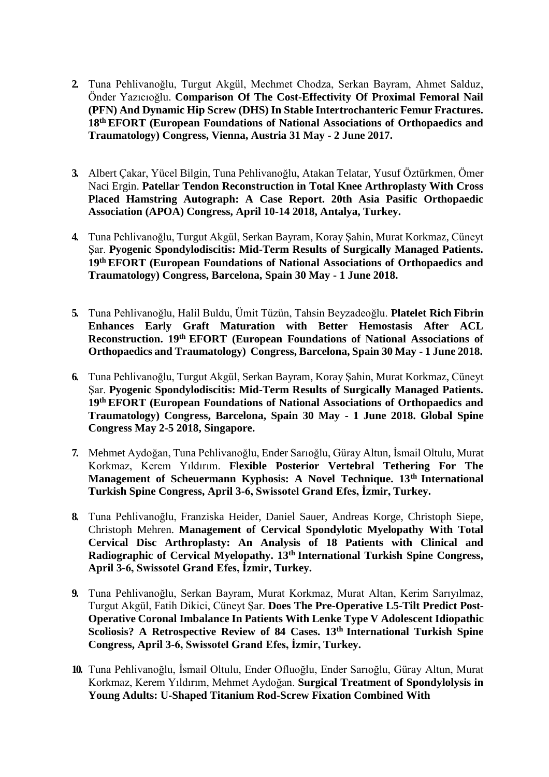- **2.** Tuna Pehlivanoğlu, Turgut Akgül, Mechmet Chodza, Serkan Bayram, Ahmet Salduz, Önder Yazıcıoğlu. **Comparison Of The Cost-Effectivity Of Proximal Femoral Nail (PFN) And Dynamic Hip Screw (DHS) In Stable Intertrochanteric Femur Fractures. 18th EFORT (European Foundations of National Associations of Orthopaedics and Traumatology) Congress, Vienna, Austria 31 May - 2 June 2017.**
- **3.** Albert Çakar, Yücel Bilgin, Tuna Pehlivanoğlu, Atakan Telatar, Yusuf Öztürkmen, Ömer Naci Ergin. **Patellar Tendon Reconstruction in Total Knee Arthroplasty With Cross Placed Hamstring Autograph: A Case Report. 20th Asia Pasific Orthopaedic Association (APOA) Congress, April 10-14 2018, Antalya, Turkey.**
- **4.** Tuna Pehlivanoğlu, Turgut Akgül, Serkan Bayram, Koray Şahin, Murat Korkmaz, Cüneyt Şar. **Pyogenic Spondylodiscitis: Mid-Term Results of Surgically Managed Patients. 19th EFORT (European Foundations of National Associations of Orthopaedics and Traumatology) Congress, Barcelona, Spain 30 May - 1 June 2018.**
- **5.** Tuna Pehlivanoğlu, Halil Buldu, Ümit Tüzün, Tahsin Beyzadeoğlu. **Platelet Rich Fibrin Enhances Early Graft Maturation with Better Hemostasis After ACL Reconstruction. 19th EFORT (European Foundations of National Associations of Orthopaedics and Traumatology) Congress, Barcelona, Spain 30 May - 1 June 2018.**
- **6.** Tuna Pehlivanoğlu, Turgut Akgül, Serkan Bayram, Koray Şahin, Murat Korkmaz, Cüneyt Şar. **Pyogenic Spondylodiscitis: Mid-Term Results of Surgically Managed Patients. 19th EFORT (European Foundations of National Associations of Orthopaedics and Traumatology) Congress, Barcelona, Spain 30 May - 1 June 2018. Global Spine Congress May 2-5 2018, Singapore.**
- **7.** Mehmet Aydoğan, Tuna Pehlivanoğlu, Ender Sarıoğlu, Güray Altun, İsmail Oltulu, Murat Korkmaz, Kerem Yıldırım. **Flexible Posterior Vertebral Tethering For The Management of Scheuermann Kyphosis: A Novel Technique. 13th International Turkish Spine Congress, April 3-6, Swissotel Grand Efes, İzmir, Turkey.**
- **8.** Tuna Pehlivanoğlu, Franziska Heider, Daniel Sauer, Andreas Korge, Christoph Siepe, Christoph Mehren. **Management of Cervical Spondylotic Myelopathy With Total Cervical Disc Arthroplasty: An Analysis of 18 Patients with Clinical and Radiographic of Cervical Myelopathy. 13th International Turkish Spine Congress, April 3-6, Swissotel Grand Efes, İzmir, Turkey.**
- **9.** Tuna Pehlivanoğlu, Serkan Bayram, Murat Korkmaz, Murat Altan, Kerim Sarıyılmaz, Turgut Akgül, Fatih Dikici, Cüneyt Şar. **Does The Pre-Operative L5-Tilt Predict Post-Operative Coronal Imbalance In Patients With Lenke Type V Adolescent Idiopathic Scoliosis? A Retrospective Review of 84 Cases. 13th International Turkish Spine Congress, April 3-6, Swissotel Grand Efes, İzmir, Turkey.**
- **10.** Tuna Pehlivanoğlu, İsmail Oltulu, Ender Ofluoğlu, Ender Sarıoğlu, Güray Altun, Murat Korkmaz, Kerem Yıldırım, Mehmet Aydoğan. **Surgical Treatment of Spondylolysis in Young Adults: U-Shaped Titanium Rod-Screw Fixation Combined With**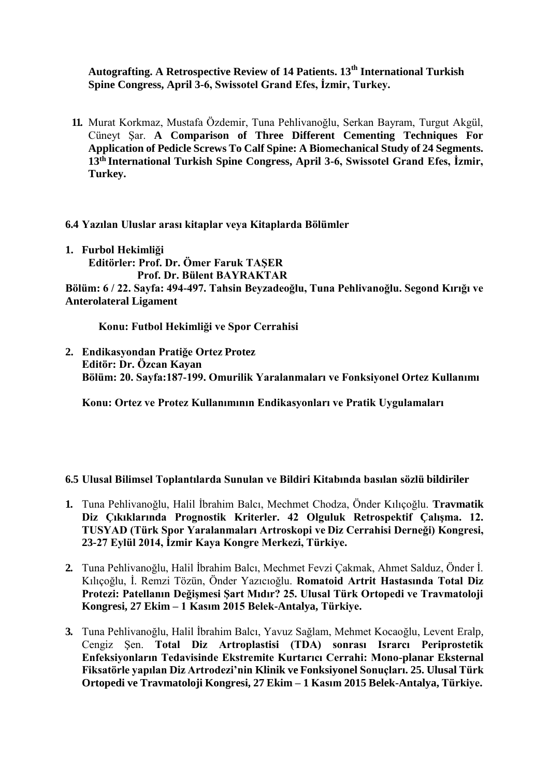**Autografting. A Retrospective Review of 14 Patients. 13th International Turkish Spine Congress, April 3-6, Swissotel Grand Efes, İzmir, Turkey.**

**11.** Murat Korkmaz, Mustafa Özdemir, Tuna Pehlivanoğlu, Serkan Bayram, Turgut Akgül, Cüneyt Şar. **A Comparison of Three Different Cementing Techniques For Application of Pedicle Screws To Calf Spine: A Biomechanical Study of 24 Segments. 13th International Turkish Spine Congress, April 3-6, Swissotel Grand Efes, İzmir, Turkey.**

**6.4 Yazılan Uluslar arası kitaplar veya Kitaplarda Bölümler**

**1. Furbol Hekimliği Editörler: Prof. Dr. Ömer Faruk TAŞER Prof. Dr. Bülent BAYRAKTAR Bölüm: 6 / 22. Sayfa: 494-497. Tahsin Beyzadeoğlu, Tuna Pehlivanoğlu. Segond Kırığı ve Anterolateral Ligament**

**Konu: Futbol Hekimliği ve Spor Cerrahisi**

**2. Endikasyondan Pratiğe Ortez Protez Editör: Dr. Özcan Kayan Bölüm: 20. Sayfa:187-199. Omurilik Yaralanmaları ve Fonksiyonel Ortez Kullanımı** 

**Konu: Ortez ve Protez Kullanımının Endikasyonları ve Pratik Uygulamaları**

## **6.5 Ulusal Bilimsel Toplantılarda Sunulan ve Bildiri Kitabında basılan sözlü bildiriler**

- **1.** Tuna Pehlivanoğlu, Halil İbrahim Balcı, Mechmet Chodza, Önder Kılıçoğlu. **Travmatik Diz Çıkıklarında Prognostik Kriterler. 42 Olguluk Retrospektif Çalışma. 12. TUSYAD (Türk Spor Yaralanmaları Artroskopi ve Diz Cerrahisi Derneği) Kongresi, 23-27 Eylül 2014, İzmir Kaya Kongre Merkezi, Türkiye.**
- **2.** Tuna Pehlivanoğlu, Halil İbrahim Balcı, Mechmet Fevzi Çakmak, Ahmet Salduz, Önder İ. Kılıçoğlu, İ. Remzi Tözün, Önder Yazıcıoğlu. **Romatoid Artrit Hastasında Total Diz Protezi: Patellanın Değişmesi Şart Mıdır? 25. Ulusal Türk Ortopedi ve Travmatoloji Kongresi, 27 Ekim – 1 Kasım 2015 Belek-Antalya, Türkiye.**
- **3.** Tuna Pehlivanoğlu, Halil İbrahim Balcı, Yavuz Sağlam, Mehmet Kocaoğlu, Levent Eralp, Cengiz Şen. **Total Diz Artroplastisi (TDA) sonrası Israrcı Periprostetik Enfeksiyonların Tedavisinde Ekstremite Kurtarıcı Cerrahi: Mono-planar Eksternal Fiksatörle yapılan Diz Artrodezi'nin Klinik ve Fonksiyonel Sonuçları. 25. Ulusal Türk Ortopedi ve Travmatoloji Kongresi, 27 Ekim – 1 Kasım 2015 Belek-Antalya, Türkiye.**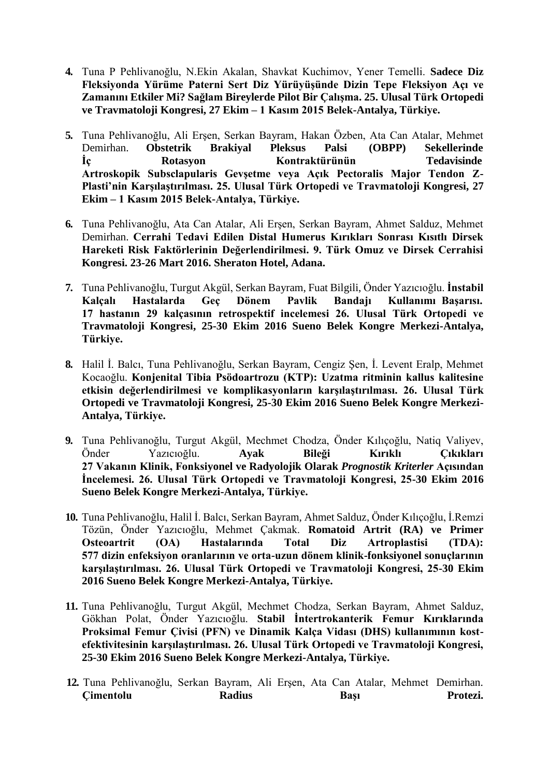- **4.** Tuna P Pehlivanoğlu, N.Ekin Akalan, Shavkat Kuchimov, Yener Temelli. **Sadece Diz Fleksiyonda Yürüme Paterni Sert Diz Yürüyüşünde Dizin Tepe Fleksiyon Açı ve Zamanını Etkiler Mi? Sağlam Bireylerde Pilot Bir Çalışma. 25. Ulusal Türk Ortopedi ve Travmatoloji Kongresi, 27 Ekim – 1 Kasım 2015 Belek-Antalya, Türkiye.**
- **5.** Tuna Pehlivanoğlu, Ali Erşen, Serkan Bayram, Hakan Özben, Ata Can Atalar, Mehmet Demirhan. **Obstetrik Brakiyal Pleksus Palsi (OBPP) Sekellerinde İç Rotasyon Kontraktürünün Tedavisinde Artroskopik Subsclapularis Gevşetme veya Açık Pectoralis Major Tendon Z-Plasti'nin Karşılaştırılması. 25. Ulusal Türk Ortopedi ve Travmatoloji Kongresi, 27 Ekim – 1 Kasım 2015 Belek-Antalya, Türkiye.**
- **6.** Tuna Pehlivanoğlu, Ata Can Atalar, Ali Erşen, Serkan Bayram, Ahmet Salduz, Mehmet Demirhan. **Cerrahi Tedavi Edilen Distal Humerus Kırıkları Sonrası Kısıtlı Dirsek Hareketi Risk Faktörlerinin Değerlendirilmesi. 9. Türk Omuz ve Dirsek Cerrahisi Kongresi. 23-26 Mart 2016. Sheraton Hotel, Adana.**
- **7.** Tuna Pehlivanoğlu, Turgut Akgül, Serkan Bayram, Fuat Bilgili, Önder Yazıcıoğlu. **İnstabil Kalçalı Hastalarda Geç Dönem Pavlik Bandajı Kullanımı Başarısı. 17 hastanın 29 kalçasının retrospektif incelemesi 26. Ulusal Türk Ortopedi ve Travmatoloji Kongresi, 25-30 Ekim 2016 Sueno Belek Kongre Merkezi-Antalya, Türkiye.**
- **8.** Halil İ. Balcı, Tuna Pehlivanoğlu, Serkan Bayram, Cengiz Şen, İ. Levent Eralp, Mehmet Kocaoğlu. **Konjenital Tibia Psödoartrozu (KTP): Uzatma ritminin kallus kalitesine etkisin değerlendirilmesi ve komplikasyonların karşılaştırılması. 26. Ulusal Türk Ortopedi ve Travmatoloji Kongresi, 25-30 Ekim 2016 Sueno Belek Kongre Merkezi-Antalya, Türkiye.**
- **9.** Tuna Pehlivanoğlu, Turgut Akgül, Mechmet Chodza, Önder Kılıçoğlu, Natiq Valiyev, Önder Yazıcıoğlu. **Ayak Bileği Kırıklı Çıkıkları 27 Vakanın Klinik, Fonksiyonel ve Radyolojik Olarak** *Prognostik Kriterler* **Açısından İncelemesi. 26. Ulusal Türk Ortopedi ve Travmatoloji Kongresi, 25-30 Ekim 2016 Sueno Belek Kongre Merkezi-Antalya, Türkiye.**
- **10.** Tuna Pehlivanoğlu, Halil İ. Balcı, Serkan Bayram, Ahmet Salduz, Önder Kılıçoğlu, İ.Remzi Tözün, Önder Yazıcıoğlu, Mehmet Çakmak. **Romatoid Artrit (RA) ve Primer Osteoartrit (OA) Hastalarında Total Diz Artroplastisi (TDA): 577 dizin enfeksiyon oranlarının ve orta-uzun dönem klinik-fonksiyonel sonuçlarının karşılaştırılması. 26. Ulusal Türk Ortopedi ve Travmatoloji Kongresi, 25-30 Ekim 2016 Sueno Belek Kongre Merkezi-Antalya, Türkiye.**
- **11.** Tuna Pehlivanoğlu, Turgut Akgül, Mechmet Chodza, Serkan Bayram, Ahmet Salduz, Gökhan Polat, Önder Yazıcıoğlu. **Stabil İntertrokanterik Femur Kırıklarında Proksimal Femur Çivisi (PFN) ve Dinamik Kalça Vidası (DHS) kullanımının kostefektivitesinin karşılaştırılması. 26. Ulusal Türk Ortopedi ve Travmatoloji Kongresi, 25-30 Ekim 2016 Sueno Belek Kongre Merkezi-Antalya, Türkiye.**
- **12.** Tuna Pehlivanoğlu, Serkan Bayram, Ali Erşen, Ata Can Atalar, Mehmet Demirhan. **Çimentolu Radius Başı Protezi.**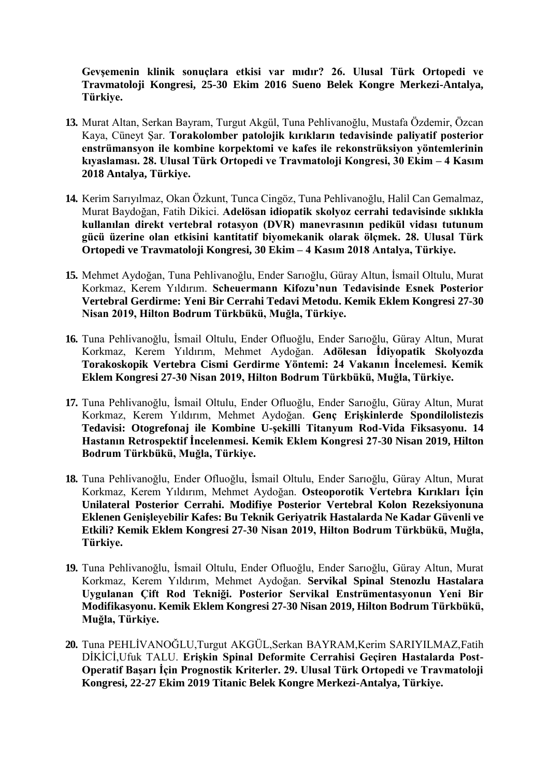**Gevşemenin klinik sonuçlara etkisi var mıdır? 26. Ulusal Türk Ortopedi ve Travmatoloji Kongresi, 25-30 Ekim 2016 Sueno Belek Kongre Merkezi-Antalya, Türkiye.**

- **13.** Murat Altan, Serkan Bayram, Turgut Akgül, Tuna Pehlivanoğlu, Mustafa Özdemir, Özcan Kaya, Cüneyt Şar. **Torakolomber patolojik kırıkların tedavisinde paliyatif posterior enstrümansyon ile kombine korpektomi ve kafes ile rekonstrüksiyon yöntemlerinin kıyaslaması. 28. Ulusal Türk Ortopedi ve Travmatoloji Kongresi, 30 Ekim – 4 Kasım 2018 Antalya, Türkiye.**
- **14.** Kerim Sarıyılmaz, Okan Özkunt, Tunca Cingöz, Tuna Pehlivanoğlu, Halil Can Gemalmaz, Murat Baydoğan, Fatih Dikici. **Adelösan idiopatik skolyoz cerrahi tedavisinde sıklıkla kullanılan direkt vertebral rotasyon (DVR) manevrasının pedikül vidası tutunum gücü üzerine olan etkisini kantitatif biyomekanik olarak ölçmek. 28. Ulusal Türk Ortopedi ve Travmatoloji Kongresi, 30 Ekim – 4 Kasım 2018 Antalya, Türkiye.**
- **15.** Mehmet Aydoğan, Tuna Pehlivanoğlu, Ender Sarıoğlu, Güray Altun, İsmail Oltulu, Murat Korkmaz, Kerem Yıldırım. **Scheuermann Kifozu'nun Tedavisinde Esnek Posterior Vertebral Gerdirme: Yeni Bir Cerrahi Tedavi Metodu. Kemik Eklem Kongresi 27-30 Nisan 2019, Hilton Bodrum Türkbükü, Muğla, Türkiye.**
- **16.** Tuna Pehlivanoğlu, İsmail Oltulu, Ender Ofluoğlu, Ender Sarıoğlu, Güray Altun, Murat Korkmaz, Kerem Yıldırım, Mehmet Aydoğan. **Adölesan İdiyopatik Skolyozda Torakoskopik Vertebra Cismi Gerdirme Yöntemi: 24 Vakanın İncelemesi. Kemik Eklem Kongresi 27-30 Nisan 2019, Hilton Bodrum Türkbükü, Muğla, Türkiye.**
- **17.** Tuna Pehlivanoğlu, İsmail Oltulu, Ender Ofluoğlu, Ender Sarıoğlu, Güray Altun, Murat Korkmaz, Kerem Yıldırım, Mehmet Aydoğan. **Genç Erişkinlerde Spondilolistezis Tedavisi: Otogrefonaj ile Kombine U-şekilli Titanyum Rod-Vida Fiksasyonu. 14 Hastanın Retrospektif İncelenmesi. Kemik Eklem Kongresi 27-30 Nisan 2019, Hilton Bodrum Türkbükü, Muğla, Türkiye.**
- **18.** Tuna Pehlivanoğlu, Ender Ofluoğlu, İsmail Oltulu, Ender Sarıoğlu, Güray Altun, Murat Korkmaz, Kerem Yıldırım, Mehmet Aydoğan. **Osteoporotik Vertebra Kırıkları İçin Unilateral Posterior Cerrahi. Modifiye Posterior Vertebral Kolon Rezeksiyonuna Eklenen Genişleyebilir Kafes: Bu Teknik Geriyatrik Hastalarda Ne Kadar Güvenli ve Etkili? Kemik Eklem Kongresi 27-30 Nisan 2019, Hilton Bodrum Türkbükü, Muğla, Türkiye.**
- **19.** Tuna Pehlivanoğlu, İsmail Oltulu, Ender Ofluoğlu, Ender Sarıoğlu, Güray Altun, Murat Korkmaz, Kerem Yıldırım, Mehmet Aydoğan. **Servikal Spinal Stenozlu Hastalara Uygulanan Çift Rod Tekniği. Posterior Servikal Enstrümentasyonun Yeni Bir Modifikasyonu. Kemik Eklem Kongresi 27-30 Nisan 2019, Hilton Bodrum Türkbükü, Muğla, Türkiye.**
- **20.** Tuna PEHLİVANOĞLU,Turgut AKGÜL,Serkan BAYRAM,Kerim SARIYILMAZ,Fatih DİKİCİ,Ufuk TALU. **Erişkin Spinal Deformite Cerrahisi Geçiren Hastalarda Post-Operatif Başarı İçin Prognostik Kriterler. 29. Ulusal Türk Ortopedi ve Travmatoloji Kongresi, 22-27 Ekim 2019 Titanic Belek Kongre Merkezi-Antalya, Türkiye.**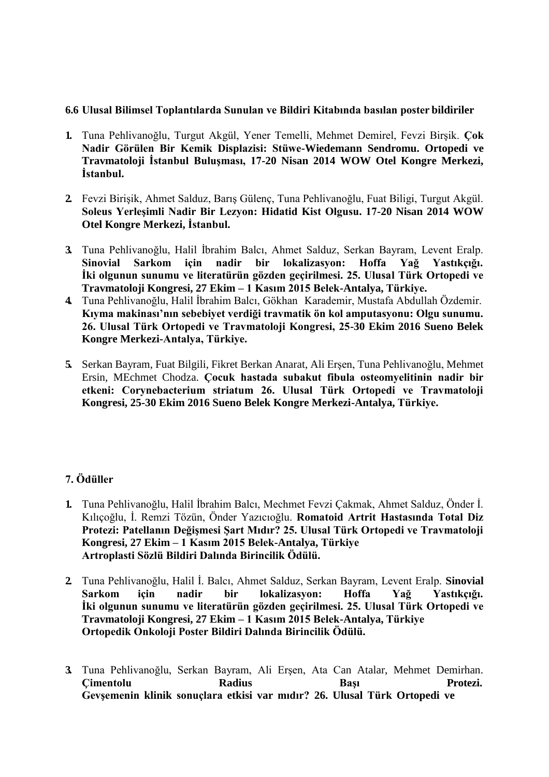#### **6.6 Ulusal Bilimsel Toplantılarda Sunulan ve Bildiri Kitabında basılan poster bildiriler**

- **1.** Tuna Pehlivanoğlu, Turgut Akgül, Yener Temelli, Mehmet Demirel, Fevzi Birşik. **Çok Nadir Görülen Bir Kemik Displazisi: Stüwe-Wiedemann Sendromu. Ortopedi ve Travmatoloji İstanbul Buluşması, 17-20 Nisan 2014 WOW Otel Kongre Merkezi, İstanbul.**
- **2.** Fevzi Birişik, Ahmet Salduz, Barış Gülenç, Tuna Pehlivanoğlu, Fuat Biligi, Turgut Akgül. **Soleus Yerleşimli Nadir Bir Lezyon: Hidatid Kist Olgusu. 17-20 Nisan 2014 WOW Otel Kongre Merkezi, İstanbul.**
- **3.** Tuna Pehlivanoğlu, Halil İbrahim Balcı, Ahmet Salduz, Serkan Bayram, Levent Eralp. **Sinovial Sarkom için nadir bir lokalizasyon: Hoffa Yağ Yastıkçığı. İki olgunun sunumu ve literatürün gözden geçirilmesi. 25. Ulusal Türk Ortopedi ve Travmatoloji Kongresi, 27 Ekim – 1 Kasım 2015 Belek-Antalya, Türkiye.**
- **4.** Tuna Pehlivanoğlu, Halil İbrahim Balcı, Gökhan Karademir, Mustafa Abdullah Özdemir. **Kıyma makinası'nın sebebiyet verdiği travmatik ön kol amputasyonu: Olgu sunumu. 26. Ulusal Türk Ortopedi ve Travmatoloji Kongresi, 25-30 Ekim 2016 Sueno Belek Kongre Merkezi-Antalya, Türkiye.**
- **5.** Serkan Bayram, Fuat Bilgili, Fikret Berkan Anarat, Ali Erşen, Tuna Pehlivanoğlu, Mehmet Ersin, MEchmet Chodza. **Çocuk hastada subakut fibula osteomyelitinin nadir bir etkeni: Corynebacterium striatum 26. Ulusal Türk Ortopedi ve Travmatoloji Kongresi, 25-30 Ekim 2016 Sueno Belek Kongre Merkezi-Antalya, Türkiye.**

## **7. Ödüller**

- **1.** Tuna Pehlivanoğlu, Halil İbrahim Balcı, Mechmet Fevzi Çakmak, Ahmet Salduz, Önder İ. Kılıçoğlu, İ. Remzi Tözün, Önder Yazıcıoğlu. **Romatoid Artrit Hastasında Total Diz Protezi: Patellanın Değişmesi Şart Mıdır? 25. Ulusal Türk Ortopedi ve Travmatoloji Kongresi, 27 Ekim – 1 Kasım 2015 Belek-Antalya, Türkiye Artroplasti Sözlü Bildiri Dalında Birincilik Ödülü.**
- **2.** Tuna Pehlivanoğlu, Halil İ. Balcı, Ahmet Salduz, Serkan Bayram, Levent Eralp. **Sinovial Sarkom için nadir bir lokalizasyon: Hoffa Yağ Yastıkçığı. İki olgunun sunumu ve literatürün gözden geçirilmesi. 25. Ulusal Türk Ortopedi ve Travmatoloji Kongresi, 27 Ekim – 1 Kasım 2015 Belek-Antalya, Türkiye Ortopedik Onkoloji Poster Bildiri Dalında Birincilik Ödülü.**
- **3.** Tuna Pehlivanoğlu, Serkan Bayram, Ali Erşen, Ata Can Atalar, Mehmet Demirhan. **Çimentolu Radius Başı Protezi. Gevşemenin klinik sonuçlara etkisi var mıdır? 26. Ulusal Türk Ortopedi ve**